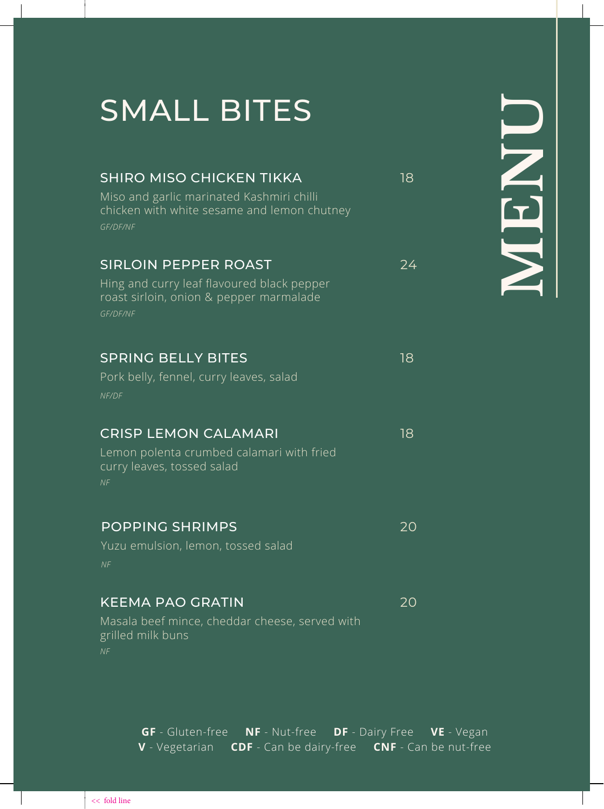# SMALL BITES

| <b>SHIRO MISO CHICKEN TIKKA</b><br>Miso and garlic marinated Kashmiri chilli<br>chicken with white sesame and lemon chutney<br>GF/DF/NF | 18 |
|-----------------------------------------------------------------------------------------------------------------------------------------|----|
| <b>SIRLOIN PEPPER ROAST</b><br>Hing and curry leaf flavoured black pepper<br>roast sirloin, onion & pepper marmalade<br>GF/DF/NF        | 24 |
| <b>SPRING BELLY BITES</b><br>Pork belly, fennel, curry leaves, salad<br>NF/DF                                                           | 18 |
| <b>CRISP LEMON CALAMARI</b><br>Lemon polenta crumbed calamari with fried<br>curry leaves, tossed salad<br>NF                            | 18 |
| <b>POPPING SHRIMPS</b><br>Yuzu emulsion, lemon, tossed salad<br>NF                                                                      | 20 |
| <b>KEEMA PAO GRATIN</b><br>Masala beef mince, cheddar cheese, served with<br>grilled milk buns                                          | 20 |

**MENU**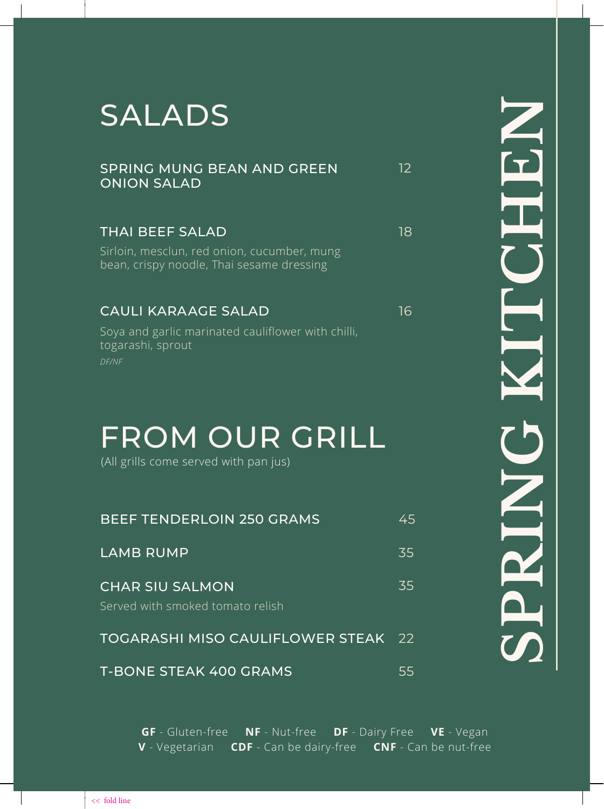# SALADS

| SPRING MUNG BEAN AND GREEN<br><b>ONION SALAD</b> |  |
|--------------------------------------------------|--|
|                                                  |  |

## THAI BEEF SALAD 18

Sirloin, mesclun, red onion, cucumber, mung bean, crispy noodle, Thai sesame dressing

### CAULI KARAAGE SALAD 16

12

Soya and garlic marinated cauliflower with chilli, togarashi, sprout *DF/NF*

# FROM OUR GRILL

(All grills come served with pan jus)

| <b>BEEF TENDERLOIN 250 GRAMS</b>                           | 45 |
|------------------------------------------------------------|----|
| <b>LAMB RUMP</b>                                           | 35 |
| <b>CHAR SIU SALMON</b><br>Served with smoked tomato relish | 35 |
| TOGARASHI MISO CAULIFLOWER STEAK 22                        |    |
| <b>T-BONE STEAK 400 GRAMS</b>                              | 55 |

**SPRING KITCHEN** NDRSID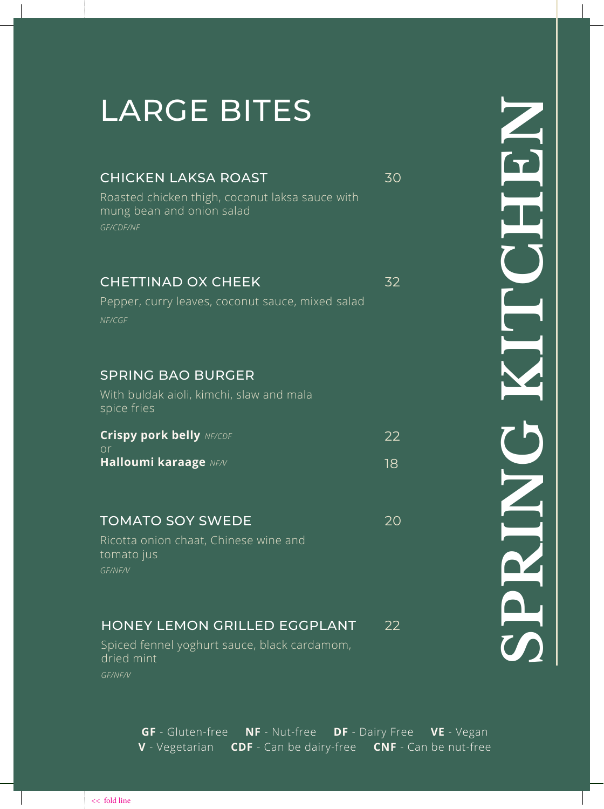# LARGE BITES

### CHICKEN LAKSA ROAST 30

Roasted chicken thigh, coconut laksa sauce with mung bean and onion salad *GF/CDF/NF*

#### CHETTINAD OX CHEEK 32

Pepper, curry leaves, coconut sauce, mixed salad *NF/CGF*

### SPRING BAO BURGER

With buldak aioli, kimchi, slaw and mala spice fries

| <b>Crispy pork belly NE/CDE</b> | 22 |
|---------------------------------|----|
| nr                              |    |
| Halloumi karaage NF/V           | 18 |

## TOMATO SOY SWEDE 20

Ricotta onion chaat, Chinese wine and tomato jus *GF/NF/V*

# HONEY LEMON GRILLED EGGPLANT 22

Spiced fennel yoghurt sauce, black cardamom, dried mint *GF/NF/V*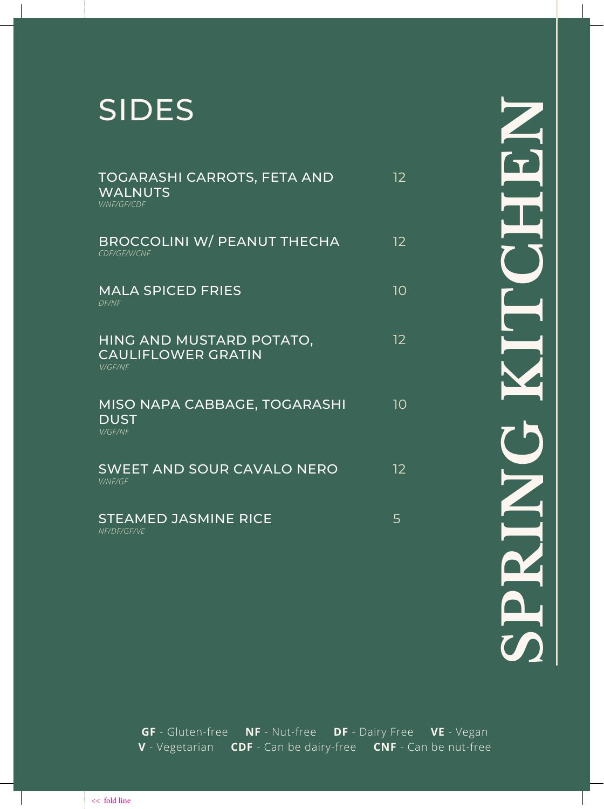# SIDES

| TOGARASHI CARROTS, FETA AND<br>WALNUTS<br><b>V/NF/GF/CDF</b>            | 12 |
|-------------------------------------------------------------------------|----|
| <b>BROCCOLINI W/ PEANUT THECHA</b><br>CDF/GF/V/CNF                      | 12 |
| <b>MALA SPICED FRIES</b><br>DF/NF                                       | 10 |
| HING AND MUSTARD POTATO,<br><b>CAULIFLOWER GRATIN</b><br><b>V/GF/NF</b> | 12 |
| MISO NAPA CABBAGE, TOGARASHI<br><b>DUST</b><br><b>V/GF/NF</b>           | 10 |
| <b>SWEET AND SOUR CAVALO NERO</b><br><b>V/NF/GF</b>                     | 12 |
| <b>STEAMED JASMINE RICE</b><br>NF/DF/GF/VE                              | 5  |

**SPRING KITCHEN** HEN SPRIN